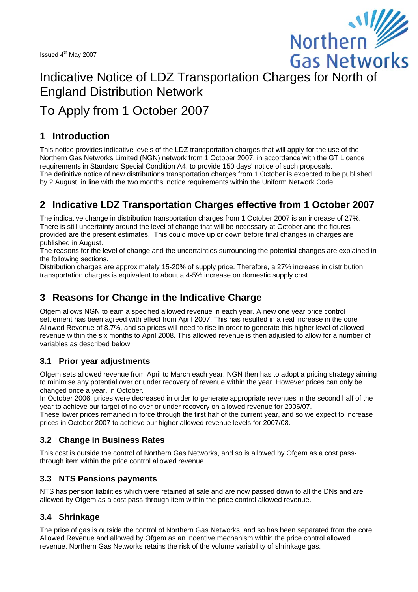

# Issued 4" May 2007<br>Indicative Notice of LDZ Transportation Charges for North of England Distribution Network

## To Apply from 1 October 2007

## **1 Introduction**

This notice provides indicative levels of the LDZ transportation charges that will apply for the use of the Northern Gas Networks Limited (NGN) network from 1 October 2007, in accordance with the GT Licence requirements in Standard Special Condition A4, to provide 150 days' notice of such proposals. The definitive notice of new distributions transportation charges from 1 October is expected to be published by 2 August, in line with the two months' notice requirements within the Uniform Network Code.

## **2 Indicative LDZ Transportation Charges effective from 1 October 2007**

The indicative change in distribution transportation charges from 1 October 2007 is an increase of 27%. There is still uncertainty around the level of change that will be necessary at October and the figures provided are the present estimates. This could move up or down before final changes in charges are published in August.

The reasons for the level of change and the uncertainties surrounding the potential changes are explained in the following sections.

Distribution charges are approximately 15-20% of supply price. Therefore, a 27% increase in distribution transportation charges is equivalent to about a 4-5% increase on domestic supply cost.

## **3 Reasons for Change in the Indicative Charge**

Ofgem allows NGN to earn a specified allowed revenue in each year. A new one year price control settlement has been agreed with effect from April 2007. This has resulted in a real increase in the core Allowed Revenue of 8.7%, and so prices will need to rise in order to generate this higher level of allowed revenue within the six months to April 2008. This allowed revenue is then adjusted to allow for a number of variables as described below.

#### **3.1 Prior year adjustments**

Ofgem sets allowed revenue from April to March each year. NGN then has to adopt a pricing strategy aiming to minimise any potential over or under recovery of revenue within the year. However prices can only be changed once a year, in October.

In October 2006, prices were decreased in order to generate appropriate revenues in the second half of the year to achieve our target of no over or under recovery on allowed revenue for 2006/07.

These lower prices remained in force through the first half of the current year, and so we expect to increase prices in October 2007 to achieve our higher allowed revenue levels for 2007/08.

#### **3.2 Change in Business Rates**

This cost is outside the control of Northern Gas Networks, and so is allowed by Ofgem as a cost passthrough item within the price control allowed revenue.

#### **3.3 NTS Pensions payments**

NTS has pension liabilities which were retained at sale and are now passed down to all the DNs and are allowed by Ofgem as a cost pass-through item within the price control allowed revenue.

#### **3.4 Shrinkage**

The price of gas is outside the control of Northern Gas Networks, and so has been separated from the core Allowed Revenue and allowed by Ofgem as an incentive mechanism within the price control allowed revenue. Northern Gas Networks retains the risk of the volume variability of shrinkage gas.